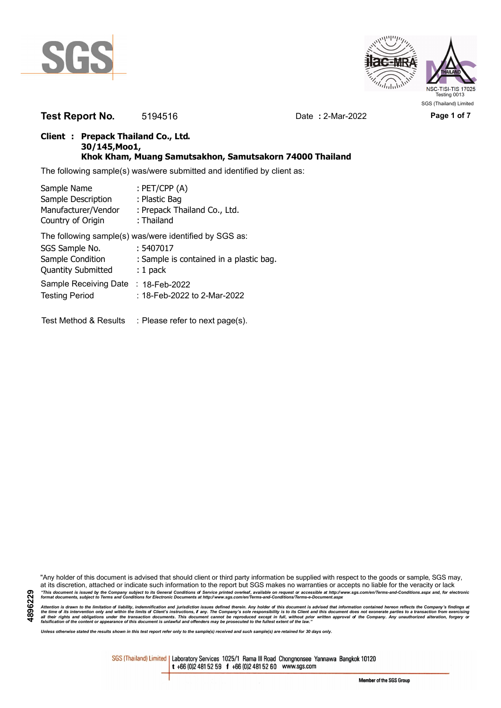



**Test Report No.** 5194516 Date **:** 2-Mar-2022 **Page 1 of 7**

### **Client : Prepack Thailand Co., Ltd. 30/145,Moo1, Khok Kham, Muang Samutsakhon, Samutsakorn 74000 Thailand**

The following sample(s) was/were submitted and identified by client as:

| Sample Name               | : $PET/CPP(A)$                                         |
|---------------------------|--------------------------------------------------------|
| Sample Description        | : Plastic Bag                                          |
| Manufacturer/Vendor       | : Prepack Thailand Co., Ltd.                           |
| Country of Origin         | : Thailand                                             |
|                           | The following sample(s) was/were identified by SGS as: |
| SGS Sample No.            | : 5407017                                              |
| Sample Condition          | : Sample is contained in a plastic bag.                |
| <b>Quantity Submitted</b> | $: 1$ pack                                             |
| Sample Receiving Date     | $: 18$ -Feb-2022                                       |
| <b>Testing Period</b>     | : 18-Feb-2022 to 2-Mar-2022                            |
|                           |                                                        |
| Test Method & Results     | : Please refer to next page(s).                        |

"Any holder of this document is advised that should client or third party information be supplied with respect to the goods or sample, SGS may, at its discretion, attached or indicate such information to the report but SGS makes no warranties or accepts no liable for the veracity or lack "This document is issued by the Company subject to its General Conditions of Service printed overleaf, available on request or accessible at http://www.sgs.com/en/Terms-and-Conditions.aspx and, for electronic<br>format docume

Attention is drawn to the limitation of liability, indemnification and jurisdiction issues defined therein. Any holder of this document is advised that information contained hereon reflects the Company's findings at<br>all th

*Unless otherwise stated the results shown in this test report refer only to the sample(s) received and such sample(s) are retained for 30 days only.*

SGS (Thailand) Limited | Laboratory Services 1025/1 Rama III Road Chongnonsee Yannawa Bangkok 10120 t +66 (0)2 481 52 59 f +66 (0)2 481 52 60 www.sgs.com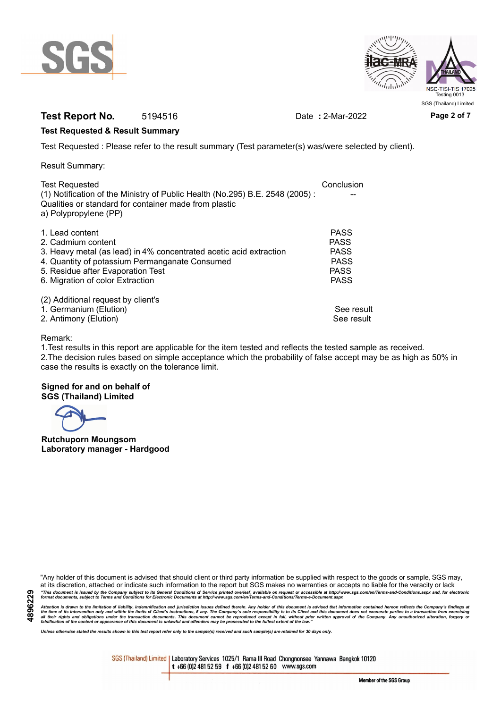



## **Test Report No.** 5194516 Date **:** 2-Mar-2022 **Page 2 of 7**

### **Test Requested & Result Summary**

Test Requested : Please refer to the result summary (Test parameter(s) was/were selected by client).

Result Summary:

| <b>Test Requested</b>                                                                                                                 | Conclusion  |
|---------------------------------------------------------------------------------------------------------------------------------------|-------------|
| (1) Notification of the Ministry of Public Health (No.295) B.E. 2548 (2005):<br>Qualities or standard for container made from plastic |             |
| a) Polypropylene (PP)                                                                                                                 |             |
| 1. Lead content                                                                                                                       | <b>PASS</b> |
| 2. Cadmium content                                                                                                                    | <b>PASS</b> |
| 3. Heavy metal (as lead) in 4% concentrated acetic acid extraction                                                                    | <b>PASS</b> |
| 4. Quantity of potassium Permanganate Consumed                                                                                        | <b>PASS</b> |
| 5. Residue after Evaporation Test                                                                                                     | <b>PASS</b> |
| 6. Migration of color Extraction                                                                                                      | <b>PASS</b> |
| (2) Additional request by client's                                                                                                    |             |
| 1. Germanium (Elution)                                                                                                                | See result  |
| 2. Antimony (Elution)                                                                                                                 | See result  |

### Remark:

1.Test results in this report are applicable for the item tested and reflects the tested sample as received. 2.The decision rules based on simple acceptance which the probability of false accept may be as high as 50% in case the results is exactly on the tolerance limit.

### **Signed for and on behalf of SGS (Thailand) Limited**

**Rutchuporn Moungsom Laboratory manager - Hardgood**

"Any holder of this document is advised that should client or third party information be supplied with respect to the goods or sample, SGS may, at its discretion, attached or indicate such information to the report but SGS makes no warranties or accepts no liable for the veracity or lack "This document is issued by the Company subject to its General Conditions of Service printed overleaf, available on request or accessible at http://www.sgs.com/en/Terms-and-Conditions.aspx and, for electronic<br>format docume

Attention is drawn to the limitation of liability, indemnification and jurisdiction issues defined therein. Any holder of this document is advised that information contained hereon reflects the Company's findings at<br>all th

*Unless otherwise stated the results shown in this test report refer only to the sample(s) received and such sample(s) are retained for 30 days only.*

SGS (Thailand) Limited | Laboratory Services 1025/1 Rama III Road Chongnonsee Yannawa Bangkok 10120 t +66 (0)2 481 52 59 f +66 (0)2 481 52 60 www.sgs.com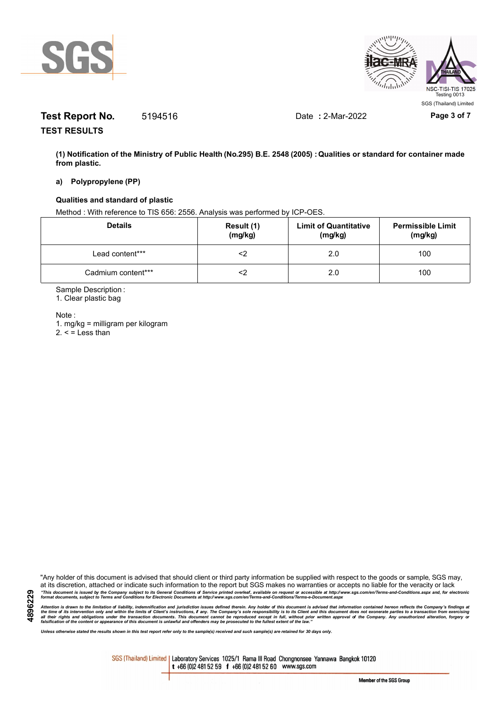



# **Test Report No.** 5194516 Date **:** 2-Mar-2022 **Page 3 of 7**

**TEST RESULTS**

**(1) Notification of the Ministry of Public Health (No.295) B.E. 2548 (2005) : Qualities or standard for container made from plastic.**

#### **a) Polypropylene (PP)**

### **Qualities and standard of plastic**

Method : With reference to TIS 656: 2556. Analysis was performed by ICP-OES.

| <b>Details</b>     | Result (1)<br>(mg/kg) | <b>Limit of Quantitative</b><br>(mg/kg) | <b>Permissible Limit</b><br>(mg/kg) |
|--------------------|-----------------------|-----------------------------------------|-------------------------------------|
| Lead content***    | ≤>                    | 2.0                                     | 100                                 |
| Cadmium content*** | ∠>                    | 2.0                                     | 100                                 |

Sample Description :

1. Clear plastic bag

Note :

**4896229**

1. mg/kg = milligram per kilogram  $2. <$  = Less than

"Any holder of this document is advised that should client or third party information be supplied with respect to the goods or sample, SGS may, at its discretion, attached or indicate such information to the report but SGS makes no warranties or accepts no liable for the veracity or lack "This document is issued by the Company subject to its General Conditions of Service printed overleaf, available on request or accessible at http://www.sgs.com/en/Terms-and-Conditions.aspx and, for electronic<br>format docume

Attention is drawn to the limitation of liability, indemnification and jurisdiction issues defined therein. Any holder of this document is advised that information contained hereon reflects the Company's findings at<br>all th

*Unless otherwise stated the results shown in this test report refer only to the sample(s) received and such sample(s) are retained for 30 days only.*

SGS (Thailand) Limited | Laboratory Services 1025/1 Rama III Road Chongnonsee Yannawa Bangkok 10120 t +66 (0)2 481 52 59 f +66 (0)2 481 52 60 www.sgs.com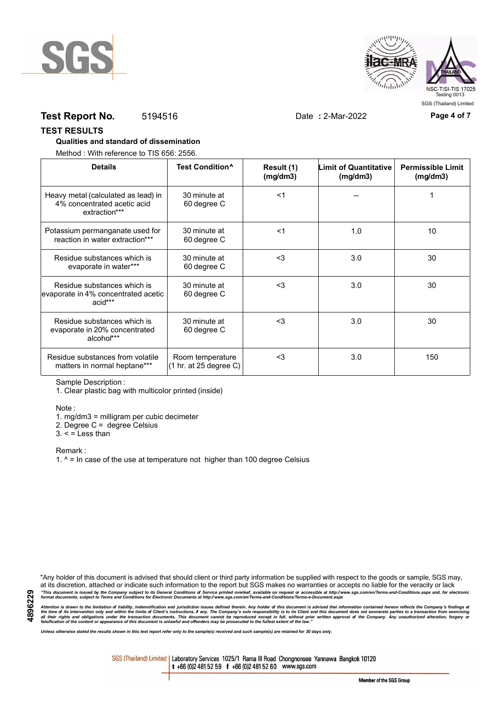



## **Test Report No.** 5194516 Date **:** 2-Mar-2022 **Page 4 of 7**

#### **TEST RESULTS**

### **Qualities and standard of dissemination**

Method : With reference to TIS 656: 2556.

| <b>Details</b>                                                                      | Test Condition <sup>^</sup>                                   | Result (1)<br>(mg/dm3) | <b>Limit of Quantitative</b><br>(mg/dm3) | <b>Permissible Limit</b><br>(mg/dm3) |
|-------------------------------------------------------------------------------------|---------------------------------------------------------------|------------------------|------------------------------------------|--------------------------------------|
| Heavy metal (calculated as lead) in<br>4% concentrated acetic acid<br>extraction*** | 30 minute at<br>60 degree C                                   | $<$ 1                  |                                          |                                      |
| Potassium permanganate used for<br>reaction in water extraction***                  | 30 minute at<br>60 degree C                                   | $<$ 1                  | 1.0                                      | 10                                   |
| Residue substances which is<br>evaporate in water***                                | 30 minute at<br>60 degree C                                   | $3$                    | 3.0                                      | 30                                   |
| Residue substances which is<br>evaporate in 4% concentrated acetic<br>acid***       | 30 minute at<br>60 degree C                                   | $<$ 3                  | 3.0                                      | 30                                   |
| Residue substances which is<br>evaporate in 20% concentrated<br>alcohol***          | 30 minute at<br>60 degree C                                   | $3$                    | 3.0                                      | 30                                   |
| Residue substances from volatile<br>matters in normal heptane***                    | Room temperature<br>$(1 \text{ hr. at } 25 \text{ degree C})$ | $3$                    | 3.0                                      | 150                                  |

Sample Description :

1. Clear plastic bag with multicolor printed (inside)

Note :

1. mg/dm3 = milligram per cubic decimeter

2. Degree C = degree Celsius

 $3. <$  = Less than

Remark :

1.  $^{\circ}$  = In case of the use at temperature not higher than 100 degree Celsius

"Any holder of this document is advised that should client or third party information be supplied with respect to the goods or sample, SGS may, at its discretion, attached or indicate such information to the report but SGS makes no warranties or accepts no liable for the veracity or lack "This document is issued by the Company subject to its General Conditions of Service printed overleaf, available on request or accessible at http://www.sgs.com/en/Terms-and-Conditions.aspx and, for electronic<br>format docume

Attention is drawn to the limitation of liability, indemnification and jurisdiction issues defined therein. Any holder of this document is advised that information contained hereon reflects the Company's findings at<br>all th

*Unless otherwise stated the results shown in this test report refer only to the sample(s) received and such sample(s) are retained for 30 days only.*

SGS (Thailand) Limited | Laboratory Services 1025/1 Rama III Road Chongnonsee Yannawa Bangkok 10120 t +66 (0)2 481 52 59 f +66 (0)2 481 52 60 www.sgs.com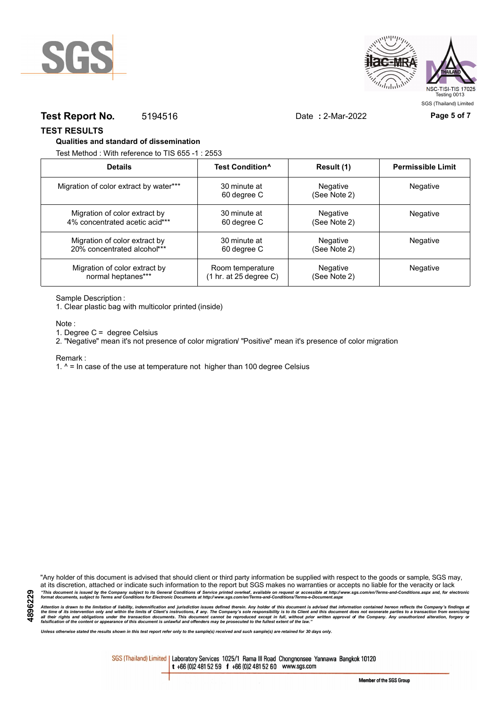



### **Test Report No.** 5194516 Date **:** 2-Mar-2022 **Page 5 of 7**

**TEST RESULTS**

#### **Qualities and standard of dissemination**

Test Method : With reference to TIS 655 -1 : 2553

| <b>Details</b>                         | Test Condition <sup>^</sup>               | Result (1)               | <b>Permissible Limit</b> |
|----------------------------------------|-------------------------------------------|--------------------------|--------------------------|
| Migration of color extract by water*** | 30 minute at<br>60 degree C               | Negative<br>(See Note 2) | Negative                 |
| Migration of color extract by          | 30 minute at                              | Negative                 | Negative                 |
| 4% concentrated acetic acid***         | 60 degree C                               | (See Note 2)             |                          |
| Migration of color extract by          | 30 minute at                              | Negative                 | <b>Negative</b>          |
| 20% concentrated alcohol***            | 60 degree C                               | (See Note 2)             |                          |
| Migration of color extract by          | Room temperature                          | Negative                 | <b>Negative</b>          |
| normal heptanes***                     | $(1 \text{ hr. at } 25 \text{ degree C})$ | (See Note 2)             |                          |

Sample Description :

1. Clear plastic bag with multicolor printed (inside)

Note :

1. Degree C = degree Celsius

2. "Negative" mean it's not presence of color migration/ "Positive" mean it's presence of color migration

Remark :

1.  $^{\circ}$  = In case of the use at temperature not higher than 100 degree Celsius

"Any holder of this document is advised that should client or third party information be supplied with respect to the goods or sample, SGS may, at its discretion, attached or indicate such information to the report but SGS makes no warranties or accepts no liable for the veracity or lack "This document is issued by the Company subject to its General Conditions of Service printed overleaf, available on request or accessible at http://www.sgs.com/en/Terms-and-Conditions.aspx and, for electronic<br>format docume

Attention is drawn to the limitation of liability, indemnification and jurisdiction issues defined therein. Any holder of this document is advised that information contained hereon reflects the Company's findings at<br>all th

*Unless otherwise stated the results shown in this test report refer only to the sample(s) received and such sample(s) are retained for 30 days only.*

SGS (Thailand) Limited | Laboratory Services 1025/1 Rama III Road Chongnonsee Yannawa Bangkok 10120 t +66 (0)2 481 52 59 f +66 (0)2 481 52 60 www.sgs.com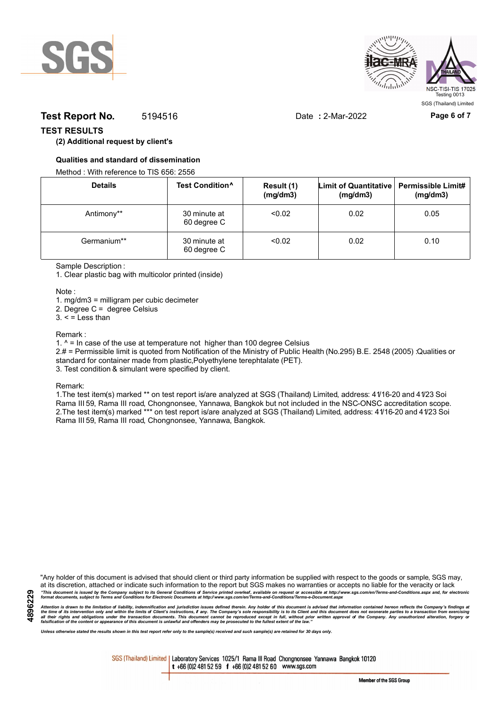



## **Test Report No.** 5194516 Date : 2-Mar-2022 **Page 6 of 7**

### **TEST RESULTS**

### **(2) Additional request by client's**

### **Qualities and standard of dissemination**

Method : With reference to TIS 656: 2556

| <b>Details</b> | Test Condition <sup>^</sup> | Result (1)<br>(mg/dm3) | Limit of Quantitative   Permissible Limit#<br>(mg/dm3) | (mg/dm3) |
|----------------|-----------------------------|------------------------|--------------------------------------------------------|----------|
| Antimony**     | 30 minute at<br>60 degree C | < 0.02                 | 0.02                                                   | 0.05     |
| Germanium**    | 30 minute at<br>60 degree C | < 0.02                 | 0.02                                                   | 0.10     |

Sample Description :

1. Clear plastic bag with multicolor printed (inside)

Note :

1. mg/dm3 = milligram per cubic decimeter

2. Degree C = degree Celsius

 $3. <$  = Less than

#### Remark :

1.  $^{\circ}$  = In case of the use at temperature not higher than 100 degree Celsius

2.# = Permissible limit is quoted from Notification of the Ministry of Public Health (No.295) B.E. 2548 (2005) :Qualities or standard for container made from plastic,Polyethylene terephtalate (PET).

3. Test condition & simulant were specified by client.

Remark:

1.The test item(s) marked \*\* on test report is/are analyzed at SGS (Thailand) Limited, address: 41/16-20 and 41/23 Soi Rama III 59, Rama III road, Chongnonsee, Yannawa, Bangkok but not included in the NSC-ONSC accreditation scope. 2.The test item(s) marked \*\*\* on test report is/are analyzed at SGS (Thailand) Limited, address: 41/16-20 and 41/23 Soi Rama III 59, Rama III road, Chongnonsee, Yannawa, Bangkok.

**4896229**

"Any holder of this document is advised that should client or third party information be supplied with respect to the goods or sample, SGS may, at its discretion, attached or indicate such information to the report but SGS makes no warranties or accepts no liable for the veracity or lack "This document is issued by the Company subject to its General Conditions of Service printed overleaf, available on request or accessible at http://www.sgs.com/en/Terms-and-Conditions.aspx and, for electronic<br>format docume

Attention is drawn to the limitation of liability, indemnification and jurisdiction issues defined therein. Any holder of this document is advised that information contained hereon reflects the Company's findings at<br>all th

*Unless otherwise stated the results shown in this test report refer only to the sample(s) received and such sample(s) are retained for 30 days only.*

SGS (Thailand) Limited | Laboratory Services 1025/1 Rama III Road Chongnonsee Yannawa Bangkok 10120 t +66 (0)2 481 52 59 f +66 (0)2 481 52 60 www.sgs.com